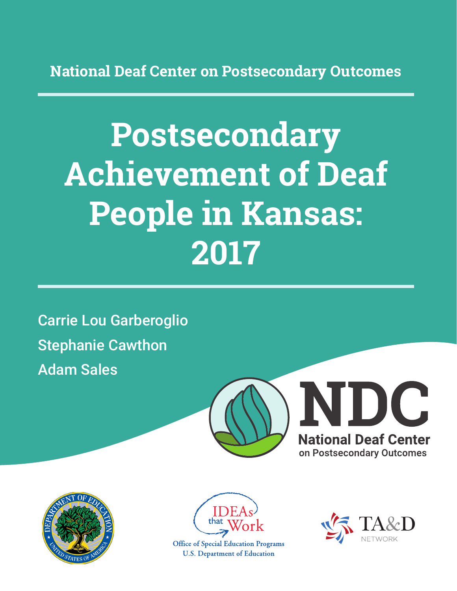**National Deaf Center on Postsecondary Outcomes**

# **Postsecondary Achievement of Deaf People in Kansas: 2017**

Carrie Lou Garberoglio Stephanie Cawthon Adam Sales







**Office of Special Education Programs U.S. Department of Education** 

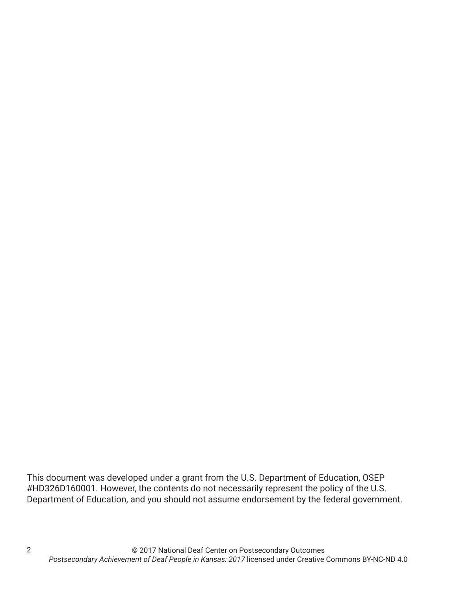This document was developed under a grant from the U.S. Department of Education, OSEP #HD326D160001. However, the contents do not necessarily represent the policy of the U.S. Department of Education, and you should not assume endorsement by the federal government.

2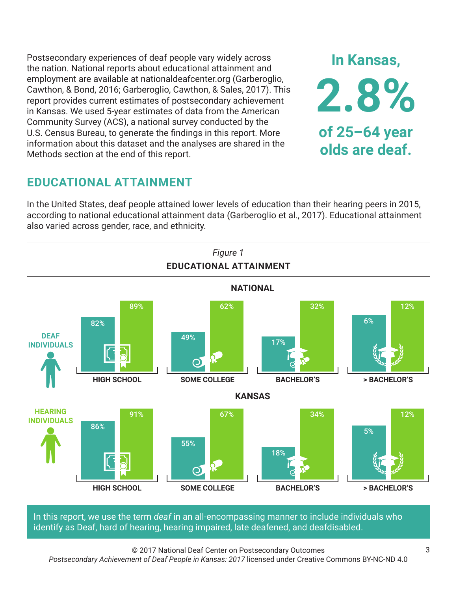Postsecondary experiences of deaf people vary widely across the nation. National reports about educational attainment and employment are available at nationaldeafcenter.org (Garberoglio, Cawthon, & Bond, 2016; Garberoglio, Cawthon, & Sales, 2017). This report provides current estimates of postsecondary achievement in Kansas. We used 5-year estimates of data from the American Community Survey (ACS), a national survey conducted by the U.S. Census Bureau, to generate the findings in this report. More information about this dataset and the analyses are shared in the Methods section at the end of this report.

## **EDUCATIONAL ATTAINMENT**

In the United States, deaf people attained lower levels of education than their hearing peers in 2015, according to national educational attainment data (Garberoglio et al., 2017). Educational attainment also varied across gender, race, and ethnicity.



In this report, we use the term *deaf* in an all-encompassing manner to include individuals who identify as Deaf, hard of hearing, hearing impaired, late deafened, and deafdisabled.

© 2017 National Deaf Center on Postsecondary Outcomes *Postsecondary Achievement of Deaf People in Kansas: 2017* licensed under Creative Commons BY-NC-ND 4.0

**In Kansas,**

**2.8%**

**of 25–64 year**

**olds are deaf.**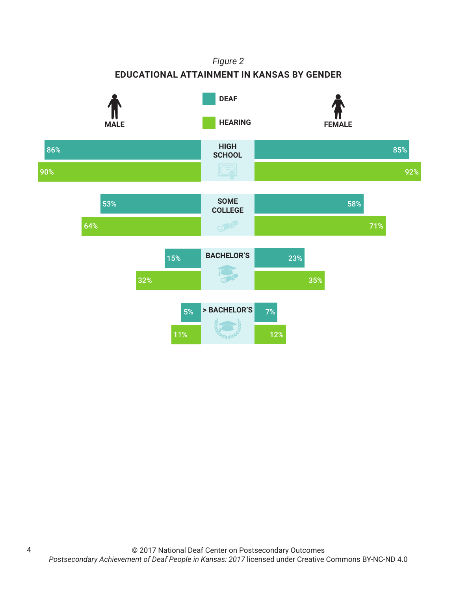## *Figure 2* **EDUCATIONAL ATTAINMENT IN KANSAS BY GENDER**



4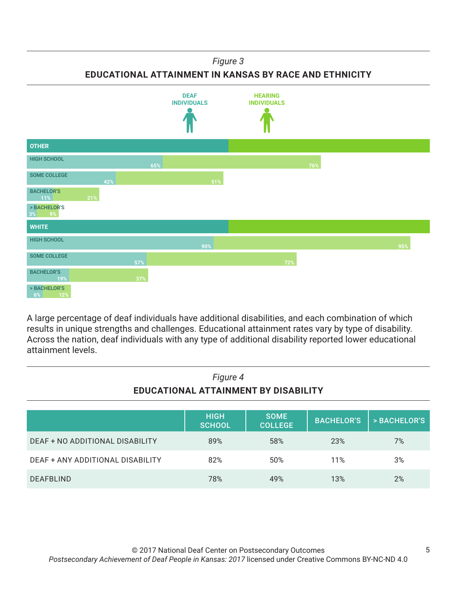### *Figure 3*

**EDUCATIONAL ATTAINMENT IN KANSAS BY RACE AND ETHNICITY**



A large percentage of deaf individuals have additional disabilities, and each combination of which results in unique strengths and challenges. Educational attainment rates vary by type of disability. Across the nation, deaf individuals with any type of additional disability reported lower educational attainment levels.

| Figure 4<br>EDUCATIONAL ATTAINMENT BY DISABILITY |                              |                               |                   |              |
|--------------------------------------------------|------------------------------|-------------------------------|-------------------|--------------|
|                                                  | <b>HIGH</b><br><b>SCHOOL</b> | <b>SOME</b><br><b>COLLEGE</b> | <b>BACHELOR'S</b> | > BACHELOR'S |
| DEAF + NO ADDITIONAL DISABILITY                  | 89%                          | 58%                           | 23%               | 7%           |
| DEAF + ANY ADDITIONAL DISABILITY                 | 82%                          | 50%                           | 11%               | 3%           |
| <b>DEAFBLIND</b>                                 | 78%                          | 49%                           | 13%               | 2%           |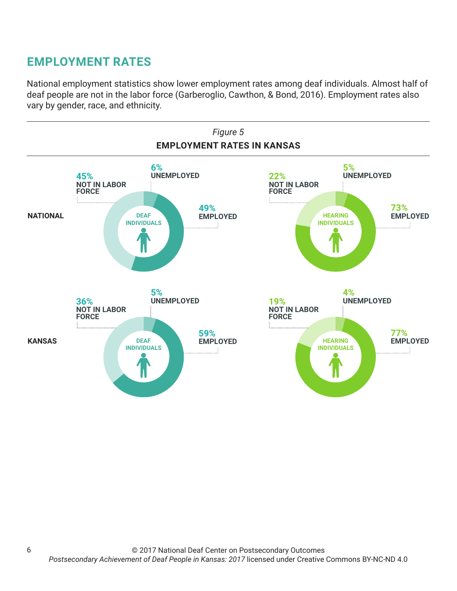## **EMPLOYMENT RATES**

National employment statistics show lower employment rates among deaf individuals. Almost half of deaf people are not in the labor force (Garberoglio, Cawthon, & Bond, 2016). Employment rates also vary by gender, race, and ethnicity.

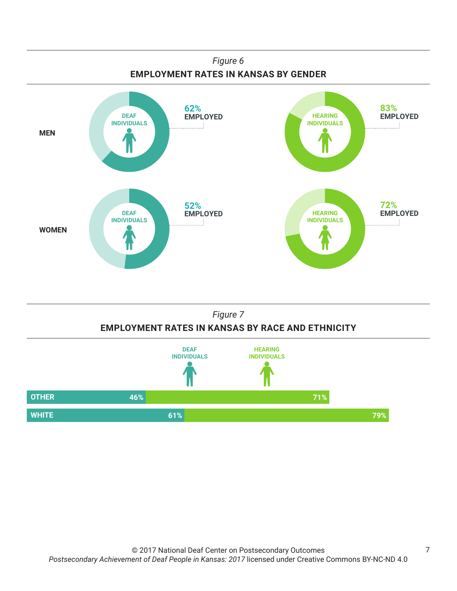



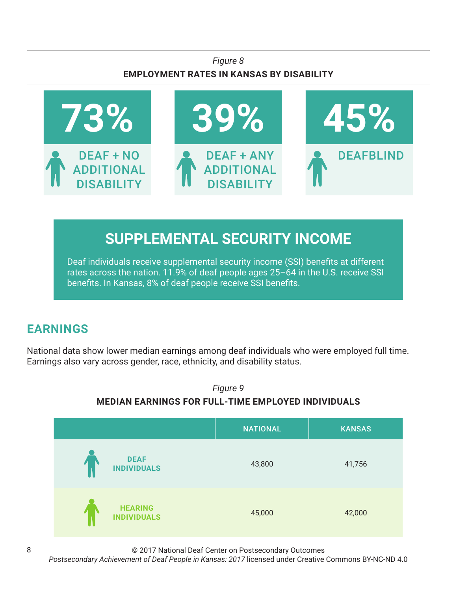## *Figure 8* **EMPLOYMENT RATES IN KANSAS BY DISABILITY**



# **SUPPLEMENTAL SECURITY INCOME**

Deaf individuals receive supplemental security income (SSI) benefits at different rates across the nation. 11.9% of deaf people ages 25–64 in the U.S. receive SSI benefits. In Kansas, 8% of deaf people receive SSI benefits.

# **EARNINGS**

National data show lower median earnings among deaf individuals who were employed full time. Earnings also vary across gender, race, ethnicity, and disability status.



© 2017 National Deaf Center on Postsecondary Outcomes

*Postsecondary Achievement of Deaf People in Kansas: 2017* licensed under Creative Commons BY-NC-ND 4.0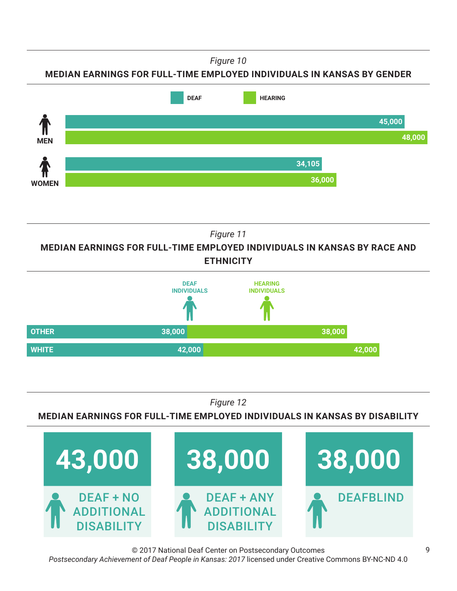*Figure 10*

**MEDIAN EARNINGS FOR FULL-TIME EMPLOYED INDIVIDUALS IN KANSAS BY GENDER**



*Figure 11*

**MEDIAN EARNINGS FOR FULL-TIME EMPLOYED INDIVIDUALS IN KANSAS BY RACE AND ETHNICITY**



*Figure 12*

**MEDIAN EARNINGS FOR FULL-TIME EMPLOYED INDIVIDUALS IN KANSAS BY DISABILITY**



© 2017 National Deaf Center on Postsecondary Outcomes *Postsecondary Achievement of Deaf People in Kansas: 2017* licensed under Creative Commons BY-NC-ND 4.0